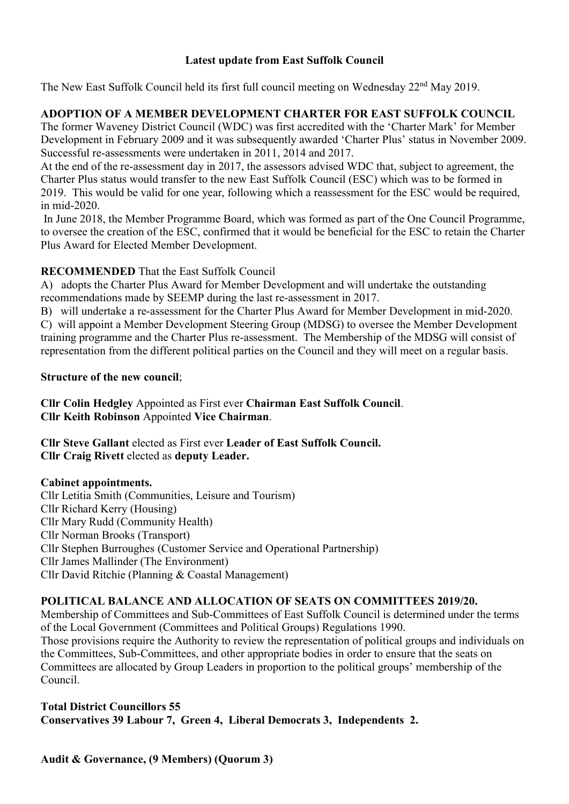### Latest update from East Suffolk Council

The New East Suffolk Council held its first full council meeting on Wednesday 22<sup>nd</sup> May 2019.

# ADOPTION OF A MEMBER DEVELOPMENT CHARTER FOR EAST SUFFOLK COUNCIL

The former Waveney District Council (WDC) was first accredited with the 'Charter Mark' for Member Development in February 2009 and it was subsequently awarded 'Charter Plus' status in November 2009. Successful re-assessments were undertaken in 2011, 2014 and 2017.

At the end of the re-assessment day in 2017, the assessors advised WDC that, subject to agreement, the Charter Plus status would transfer to the new East Suffolk Council (ESC) which was to be formed in 2019. This would be valid for one year, following which a reassessment for the ESC would be required, in mid-2020.

 In June 2018, the Member Programme Board, which was formed as part of the One Council Programme, to oversee the creation of the ESC, confirmed that it would be beneficial for the ESC to retain the Charter Plus Award for Elected Member Development.

## RECOMMENDED That the East Suffolk Council

A) adopts the Charter Plus Award for Member Development and will undertake the outstanding recommendations made by SEEMP during the last re-assessment in 2017.

B) will undertake a re-assessment for the Charter Plus Award for Member Development in mid-2020.

C) will appoint a Member Development Steering Group (MDSG) to oversee the Member Development training programme and the Charter Plus re-assessment. The Membership of the MDSG will consist of representation from the different political parties on the Council and they will meet on a regular basis.

## Structure of the new council;

Cllr Colin Hedgley Appointed as First ever Chairman East Suffolk Council. Cllr Keith Robinson Appointed Vice Chairman.

Cllr Steve Gallant elected as First ever Leader of East Suffolk Council. Cllr Craig Rivett elected as deputy Leader.

## Cabinet appointments.

Cllr Letitia Smith (Communities, Leisure and Tourism) Cllr Richard Kerry (Housing) Cllr Mary Rudd (Community Health) Cllr Norman Brooks (Transport) Cllr Stephen Burroughes (Customer Service and Operational Partnership) Cllr James Mallinder (The Environment) Cllr David Ritchie (Planning & Coastal Management)

## POLITICAL BALANCE AND ALLOCATION OF SEATS ON COMMITTEES 2019/20.

Membership of Committees and Sub-Committees of East Suffolk Council is determined under the terms of the Local Government (Committees and Political Groups) Regulations 1990.

Those provisions require the Authority to review the representation of political groups and individuals on the Committees, Sub-Committees, and other appropriate bodies in order to ensure that the seats on Committees are allocated by Group Leaders in proportion to the political groups' membership of the Council.

### Total District Councillors 55 Conservatives 39 Labour 7, Green 4, Liberal Democrats 3, Independents 2.

Audit & Governance, (9 Members) (Quorum 3)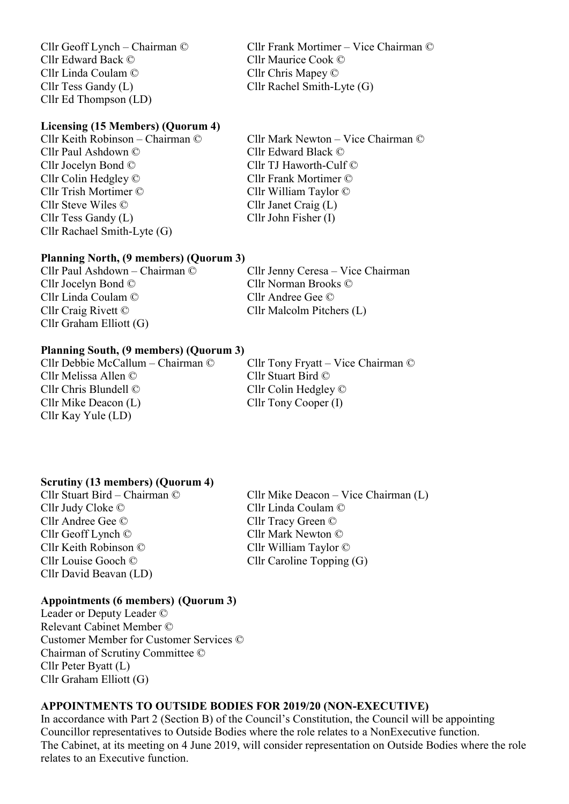Cllr Edward Back © Cllr Maurice Cook © Cllr Linda Coulam © Cllr Chris Mapey © Cllr Tess Gandy (L) Cllr Rachel Smith-Lyte (G) Cllr Ed Thompson (LD)

Cllr Geoff Lynch – Chairman © Cllr Frank Mortimer – Vice Chairman ©

#### Licensing (15 Members) (Quorum 4)

Cllr Paul Ashdown © Cllr Edward Black © Cllr Jocelyn Bond © Cllr TJ Haworth-Culf © Cllr Colin Hedgley © Cllr Frank Mortimer © Cllr Trish Mortimer © Cllr William Taylor © Cllr Steve Wiles © Cllr Janet Craig (L) Cllr Tess Gandy (L) Cllr John Fisher (I) Cllr Rachael Smith-Lyte (G)

Cllr Keith Robinson – Chairman © Cllr Mark Newton – Vice Chairman ©

#### Planning North, (9 members) (Quorum 3)

Cllr Paul Ashdown – Chairman © Cllr Jenny Ceresa – Vice Chairman Cllr Jocelyn Bond © Cllr Norman Brooks © Cllr Linda Coulam © Cllr Andree Gee © Cllr Craig Rivett © Cllr Malcolm Pitchers (L) Cllr Graham Elliott (G)

### Planning South, (9 members) (Quorum 3)

Cllr Melissa Allen © Cllr Stuart Bird © Cllr Chris Blundell © Cllr Colin Hedgley © Cllr Mike Deacon (L) Cllr Tony Cooper (I) Cllr Kay Yule (LD)

Cllr Debbie McCallum – Chairman © Cllr Tony Fryatt – Vice Chairman ©

#### Scrutiny (13 members) (Quorum 4)

Cllr Judy Cloke © Cllr Linda Coulam © Cllr Andree Gee © Cllr Tracy Green © Cllr Geoff Lynch © Cllr Mark Newton © Cllr Keith Robinson © Cllr William Taylor © Cllr Louise Gooch © Cllr Caroline Topping (G) Cllr David Beavan (LD)

Cllr Stuart Bird – Chairman © Cllr Mike Deacon – Vice Chairman (L)

#### Appointments (6 members) (Quorum 3)

Leader or Deputy Leader © Relevant Cabinet Member © Customer Member for Customer Services © Chairman of Scrutiny Committee © Cllr Peter Byatt (L) Cllr Graham Elliott (G)

## APPOINTMENTS TO OUTSIDE BODIES FOR 2019/20 (NON-EXECUTIVE)

In accordance with Part 2 (Section B) of the Council's Constitution, the Council will be appointing Councillor representatives to Outside Bodies where the role relates to a NonExecutive function. The Cabinet, at its meeting on 4 June 2019, will consider representation on Outside Bodies where the role relates to an Executive function.